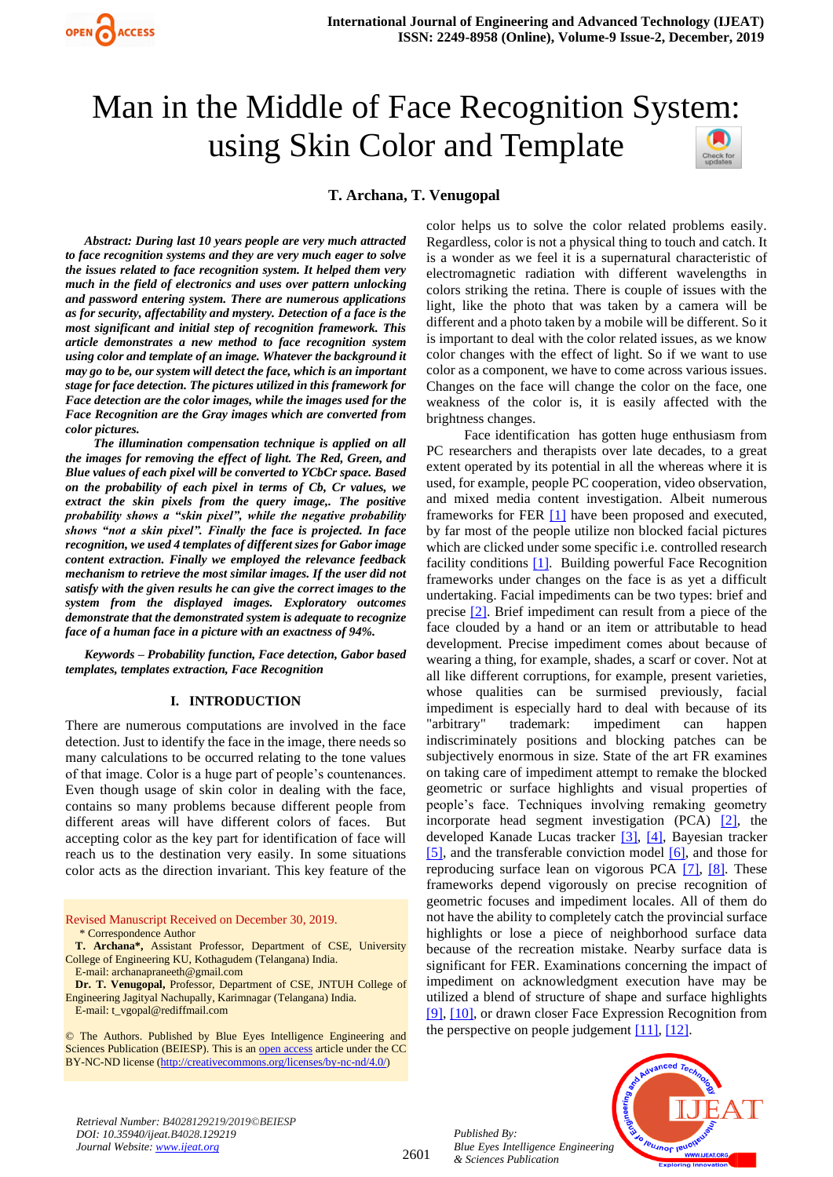

# Man in the Middle of Face Recognition System: using Skin Color and Template

# **T. Archana, T. Venugopal**

*Abstract: During last 10 years people are very much attracted to face recognition systems and they are very much eager to solve the issues related to face recognition system. It helped them very much in the field of electronics and uses over pattern unlocking and password entering system. There are numerous applications as for security, affectability and mystery. Detection of a face is the most significant and initial step of recognition framework. This article demonstrates a new method to face recognition system using color and template of an image. Whatever the background it may go to be, our system will detect the face, which is an important stage for face detection. The pictures utilized in this framework for Face detection are the color images, while the images used for the Face Recognition are the Gray images which are converted from color pictures.* 

*The illumination compensation technique is applied on all the images for removing the effect of light. The Red, Green, and Blue values of each pixel will be converted to YCbCr space. Based on the probability of each pixel in terms of Cb, Cr values, we extract the skin pixels from the query image,. The positive probability shows a "skin pixel", while the negative probability shows "not a skin pixel". Finally the face is projected. In face recognition, we used 4 templates of different sizes for Gabor image content extraction. Finally we employed the relevance feedback mechanism to retrieve the most similar images. If the user did not satisfy with the given results he can give the correct images to the system from the displayed images. Exploratory outcomes demonstrate that the demonstrated system is adequate to recognize face of a human face in a picture with an exactness of 94%.*

*Keywords – Probability function, Face detection, Gabor based templates, templates extraction, Face Recognition*

#### **I. INTRODUCTION**

There are numerous computations are involved in the face detection. Just to identify the face in the image, there needs so many calculations to be occurred relating to the tone values of that image. Color is a huge part of people's countenances. Even though usage of skin color in dealing with the face, contains so many problems because different people from different areas will have different colors of faces. But accepting color as the key part for identification of face will reach us to the destination very easily. In some situations color acts as the direction invariant. This key feature of the

Revised Manuscript Received on December 30, 2019. \* Correspondence Author

© The Authors. Published by Blue Eyes Intelligence Engineering and Sciences Publication (BEIESP). This is a[n open access](https://www.openaccess.nl/en/open-publications) article under the CC BY-NC-ND license [\(http://creativecommons.org/licenses/by-nc-nd/4.0/\)](http://creativecommons.org/licenses/by-nc-nd/4.0/)

color helps us to solve the color related problems easily. Regardless, color is not a physical thing to touch and catch. It is a wonder as we feel it is a supernatural characteristic of electromagnetic radiation with different wavelengths in colors striking the retina. There is couple of issues with the light, like the photo that was taken by a camera will be different and a photo taken by a mobile will be different. So it is important to deal with the color related issues, as we know color changes with the effect of light. So if we want to use color as a component, we have to come across various issues. Changes on the face will change the color on the face, one weakness of the color is, it is easily affected with the brightness changes.

Face identification has gotten huge enthusiasm from PC researchers and therapists over late decades, to a great extent operated by its potential in all the whereas where it is used, for example, people PC cooperation, video observation, and mixed media content investigation. Albeit numerous frameworks for FER [\[1\]](#page-9-0) have been proposed and executed, by far most of the people utilize non blocked facial pictures which are clicked under some specific i.e. controlled research facility conditions  $[1]$ . Building powerful Face Recognition frameworks under changes on the face is as yet a difficult undertaking. Facial impediments can be two types: brief and precise [\[2\].](#page-9-1) Brief impediment can result from a piece of the face clouded by a hand or an item or attributable to head development. Precise impediment comes about because of wearing a thing, for example, shades, a scarf or cover. Not at all like different corruptions, for example, present varieties, whose qualities can be surmised previously, facial impediment is especially hard to deal with because of its "arbitrary" trademark: impediment can happen indiscriminately positions and blocking patches can be subjectively enormous in size. State of the art FR examines on taking care of impediment attempt to remake the blocked geometric or surface highlights and visual properties of people's face. Techniques involving remaking geometry incorporate head segment investigation (PCA) [\[2\],](#page-9-1) the developed Kanade Lucas tracker [\[3\], \[4\],](#page-9-2) Bayesian tracker [\[5\],](#page-9-3) and the transferable conviction model [\[6\],](#page-9-4) and those for reproducing surface lean on vigorous PCA [\[7\],](#page-9-5) [\[8\].](#page-9-6) These frameworks depend vigorously on precise recognition of geometric focuses and impediment locales. All of them do not have the ability to completely catch the provincial surface highlights or lose a piece of neighborhood surface data because of the recreation mistake. Nearby surface data is significant for FER. Examinations concerning the impact of impediment on acknowledgment execution have may be utilized a blend of structure of shape and surface highlights [\[9\],](#page-9-7) [\[10\],](#page-9-8) or drawn closer Face Expression Recognition from the perspective on people judgement [11], [12].

*Retrieval Number: B4028129219/2019©BEIESP DOI: 10.35940/ijeat.B4028.129219 Journal Website[: www.ijeat.org](http://www.ijeat.org/)*



**T. Archana\*,** Assistant Professor, Department of CSE, University College of Engineering KU, Kothagudem (Telangana) India.

E-mail: archanapraneeth@gmail.com **Dr. T. Venugopal,** Professor, Department of CSE, JNTUH College of Engineering Jagityal Nachupally, Karimnagar (Telangana) India. E-mail: t\_vgopal@rediffmail.com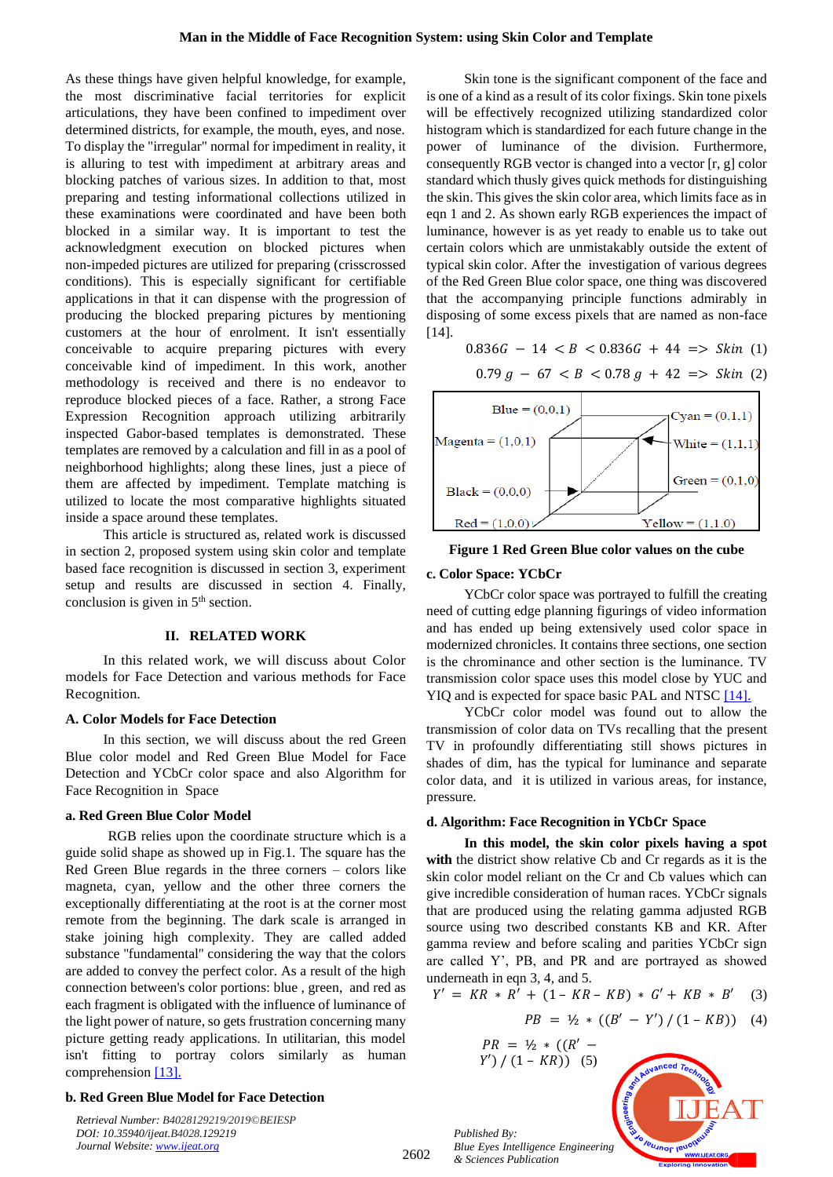As these things have given helpful knowledge, for example, the most discriminative facial territories for explicit articulations, they have been confined to impediment over determined districts, for example, the mouth, eyes, and nose. To display the "irregular" normal for impediment in reality, it is alluring to test with impediment at arbitrary areas and blocking patches of various sizes. In addition to that, most preparing and testing informational collections utilized in these examinations were coordinated and have been both blocked in a similar way. It is important to test the acknowledgment execution on blocked pictures when non-impeded pictures are utilized for preparing (crisscrossed conditions). This is especially significant for certifiable applications in that it can dispense with the progression of producing the blocked preparing pictures by mentioning customers at the hour of enrolment. It isn't essentially conceivable to acquire preparing pictures with every conceivable kind of impediment. In this work, another methodology is received and there is no endeavor to reproduce blocked pieces of a face. Rather, a strong Face Expression Recognition approach utilizing arbitrarily inspected Gabor-based templates is demonstrated. These templates are removed by a calculation and fill in as a pool of neighborhood highlights; along these lines, just a piece of them are affected by impediment. Template matching is utilized to locate the most comparative highlights situated inside a space around these templates.

This article is structured as, related work is discussed in section 2, proposed system using skin color and template based face recognition is discussed in section 3, experiment setup and results are discussed in section 4. Finally, conclusion is given in  $5<sup>th</sup>$  section.

## **II. RELATED WORK**

In this related work, we will discuss about Color models for Face Detection and various methods for Face Recognition.

#### **A. Color Models for Face Detection**

In this section, we will discuss about the red Green Blue color model and Red Green Blue Model for Face Detection and YCbCr color space and also Algorithm for Face Recognition in Space

## **a. Red Green Blue Color Model**

RGB relies upon the coordinate structure which is a guide solid shape as showed up in Fig.1. The square has the Red Green Blue regards in the three corners – colors like magneta, cyan, yellow and the other three corners the exceptionally differentiating at the root is at the corner most remote from the beginning. The dark scale is arranged in stake joining high complexity. They are called added substance ''fundamental'' considering the way that the colors are added to convey the perfect color. As a result of the high connection between's color portions: blue , green, and red as each fragment is obligated with the influence of luminance of the light power of nature, so gets frustration concerning many picture getting ready applications. In utilitarian, this model isn't fitting to portray colors similarly as human comprehension [\[13\].](#page-9-10)

#### **b. Red Green Blue Model for Face Detection**

*Retrieval Number: B4028129219/2019©BEIESP DOI: 10.35940/ijeat.B4028.129219 Journal Website[: www.ijeat.org](http://www.ijeat.org/)*

Skin tone is the significant component of the face and is one of a kind as a result of its color fixings. Skin tone pixels will be effectively recognized utilizing standardized color histogram which is standardized for each future change in the power of luminance of the division. Furthermore, consequently RGB vector is changed into a vector [r, g] color standard which thusly gives quick methods for distinguishing the skin. This gives the skin color area, which limits face as in eqn 1 and 2. As shown early RGB experiences the impact of luminance, however is as yet ready to enable us to take out certain colors which are unmistakably outside the extent of typical skin color. After the investigation of various degrees of the Red Green Blue color space, one thing was discovered that the accompanying principle functions admirably in disposing of some excess pixels that are named as non-face  $[14]$ 

$$
0.836G - 14 < B < 0.836G + 44 \implies \text{skin (1)}
$$

$$
0.79 g - 67 < B < 0.78 g + 42 \implies \text{skin (2)}
$$



**Figure 1 Red Green Blue color values on the cube** 

#### **c. Color Space: YCbCr**

YCbCr color space was portrayed to fulfill the creating need of cutting edge planning figurings of video information and has ended up being extensively used color space in modernized chronicles. It contains three sections, one section is the chrominance and other section is the luminance. TV transmission color space uses this model close by YUC and YIQ and is expected for space basic PAL and NTSC [\[14\].](#page-9-11)

YCbCr color model was found out to allow the transmission of color data on TVs recalling that the present TV in profoundly differentiating still shows pictures in shades of dim, has the typical for luminance and separate color data, and it is utilized in various areas, for instance, pressure.

## **d. Algorithm: Face Recognition in Space**

**In this model, the skin color pixels having a spot**  with the district show relative Cb and Cr regards as it is the skin color model reliant on the Cr and Cb values which can give incredible consideration of human races. YCbCr signals that are produced using the relating gamma adjusted RGB source using two described constants KB and KR. After gamma review and before scaling and parities YCbCr sign are called Y', PB, and PR and are portrayed as showed underneath in eqn 3, 4, and 5.

$$
Y' = KR * R' + (1 - KR - KB) * G' + KB * B' \quad (3)
$$

$$
PB = \frac{1}{2} * ((B' - Y') / (1 - KB)) \quad (4)
$$

$$
PR = \frac{1}{2} * ((R' - Y') / (1 - KR))
$$
 (5)

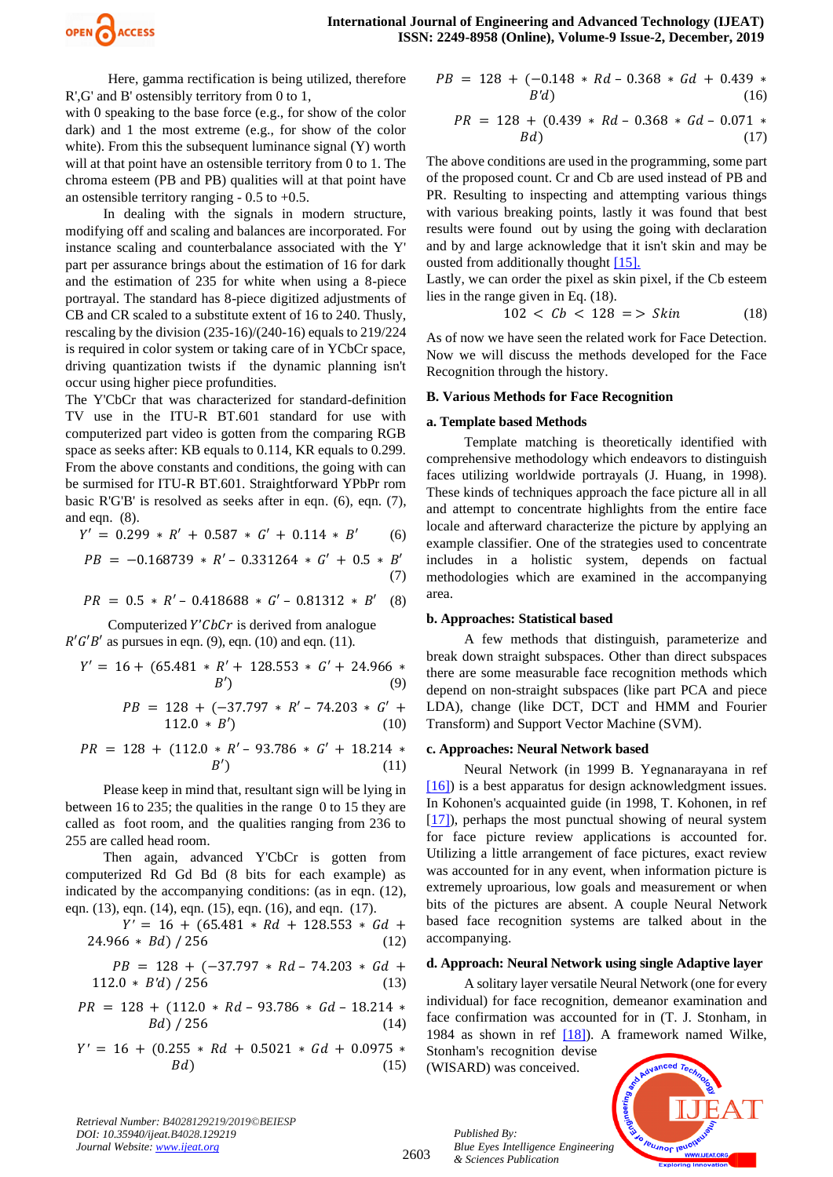

Here, gamma rectification is being utilized, therefore R',G' and B' ostensibly territory from 0 to 1,

with 0 speaking to the base force (e.g., for show of the color dark) and 1 the most extreme (e.g., for show of the color white). From this the subsequent luminance signal (Y) worth will at that point have an ostensible territory from 0 to 1. The chroma esteem (PB and PB) qualities will at that point have an ostensible territory ranging  $-0.5$  to  $+0.5$ .

In dealing with the signals in modern structure, modifying off and scaling and balances are incorporated. For instance scaling and counterbalance associated with the Y' part per assurance brings about the estimation of 16 for dark and the estimation of 235 for white when using a 8-piece portrayal. The standard has 8-piece digitized adjustments of CB and CR scaled to a substitute extent of 16 to 240. Thusly, rescaling by the division (235-16)/(240-16) equals to 219/224 is required in color system or taking care of in YCbCr space, driving quantization twists if the dynamic planning isn't occur using higher piece profundities.

The Y'CbCr that was characterized for standard-definition TV use in the ITU-R BT.601 standard for use with computerized part video is gotten from the comparing RGB space as seeks after: KB equals to 0.114, KR equals to 0.299. From the above constants and conditions, the going with can be surmised for ITU-R BT.601. Straightforward YPbPr rom basic R'G'B' is resolved as seeks after in eqn. (6), eqn. (7), and eqn. (8).

 $Y' = 0.299 * R' + 0.587 * G' + 0.114 * B'$  (6)

$$
PB = -0.168739 * R' - 0.331264 * G' + 0.5 * B'
$$
  
(7)

$$
PR = 0.5 * R' - 0.418688 * G' - 0.81312 * B'
$$
 (8)

Computerized  $Y'$ C $b$ C $r$  is derived from analogue  $R'G'B'$  as pursues in eqn. (9), eqn. (10) and eqn. (11).

$$
Y' = 16 + (65.481 * R' + 128.553 * G' + 24.966 *
$$
  
B') (9)

$$
PB = 128 + (-37.797 * R' - 74.203 * G' + 112.0 * B')
$$
\n
$$
(10)
$$

$$
PR = 128 + (112.0 * R' - 93.786 * G' + 18.214 * B')
$$
 (11)

Please keep in mind that, resultant sign will be lying in between 16 to 235; the qualities in the range 0 to 15 they are called as foot room, and the qualities ranging from 236 to 255 are called head room.

Then again, advanced Y'CbCr is gotten from computerized Rd Gd Bd (8 bits for each example) as indicated by the accompanying conditions: (as in eqn. (12), eqn. (13), eqn. (14), eqn. (15), eqn. (16), and eqn. (17).

$$
Y' = 16 + (65.481 * Rd + 128.553 * Gd + 24.966 * Bd) / 256
$$
\n(12)

$$
PB = 128 + (-37.797 * Rd - 74.203 * Gd + 112.0 * B'd) / 256
$$
\n(13)

 $PR = 128 + (112.0 * Rd - 93.786 * Gd - 18.214 *$  $Bd) / 256$  (14)

$$
Y' = 16 + (0.255 * Rd + 0.5021 * Gd + 0.0975 *
$$
  
 
$$
Bd)
$$
 (15)

$$
PB = 128 + (-0.148 * Rd - 0.368 * Gd + 0.439 * B'd)
$$
\n
$$
(16)
$$

$$
PR = 128 + (0.439 * Rd - 0.368 * Gd - 0.071 * Bd)
$$
\n(17)

The above conditions are used in the programming, some part of the proposed count. Cr and Cb are used instead of PB and PR. Resulting to inspecting and attempting various things with various breaking points, lastly it was found that best results were found out by using the going with declaration and by and large acknowledge that it isn't skin and may be ousted from additionally though[t \[15\].](#page-9-12)

Lastly, we can order the pixel as skin pixel, if the Cb esteem lies in the range given in Eq. (18).

$$
102 < Cb < 128 \implies \text{skin} \tag{18}
$$

As of now we have seen the related work for Face Detection. Now we will discuss the methods developed for the Face Recognition through the history.

## **B. Various Methods for Face Recognition**

## **a. Template based Methods**

Template matching is theoretically identified with comprehensive methodology which endeavors to distinguish faces utilizing worldwide portrayals (J. Huang, in 1998). These kinds of techniques approach the face picture all in all and attempt to concentrate highlights from the entire face locale and afterward characterize the picture by applying an example classifier. One of the strategies used to concentrate includes in a holistic system, depends on factual methodologies which are examined in the accompanying area.

## **b. Approaches: Statistical based**

A few methods that distinguish, parameterize and break down straight subspaces. Other than direct subspaces there are some measurable face recognition methods which depend on non-straight subspaces (like part PCA and piece LDA), change (like DCT, DCT and HMM and Fourier Transform) and Support Vector Machine (SVM).

## **c. Approaches: Neural Network based**

Neural Network (in 1999 B. Yegnanarayana in ref [\[16\]\)](#page-9-13) is a best apparatus for design acknowledgment issues. In Kohonen's acquainted guide (in 1998, T. Kohonen, in ref [\[17\]\)](#page-9-14), perhaps the most punctual showing of neural system for face picture review applications is accounted for. Utilizing a little arrangement of face pictures, exact review was accounted for in any event, when information picture is extremely uproarious, low goals and measurement or when bits of the pictures are absent. A couple Neural Network based face recognition systems are talked about in the accompanying.

## **d. Approach: Neural Network using single Adaptive layer**

A solitary layer versatile Neural Network (one for every individual) for face recognition, demeanor examination and face confirmation was accounted for in (T. J. Stonham, in 1984 as shown in ref [\[18\]\)](#page-9-15). A framework named Wilke, Stonham's recognition devise

(WISARD) was conceived.



*Retrieval Number: B4028129219/2019©BEIESP DOI: 10.35940/ijeat.B4028.129219 Journal Website[: www.ijeat.org](http://www.ijeat.org/)*

2603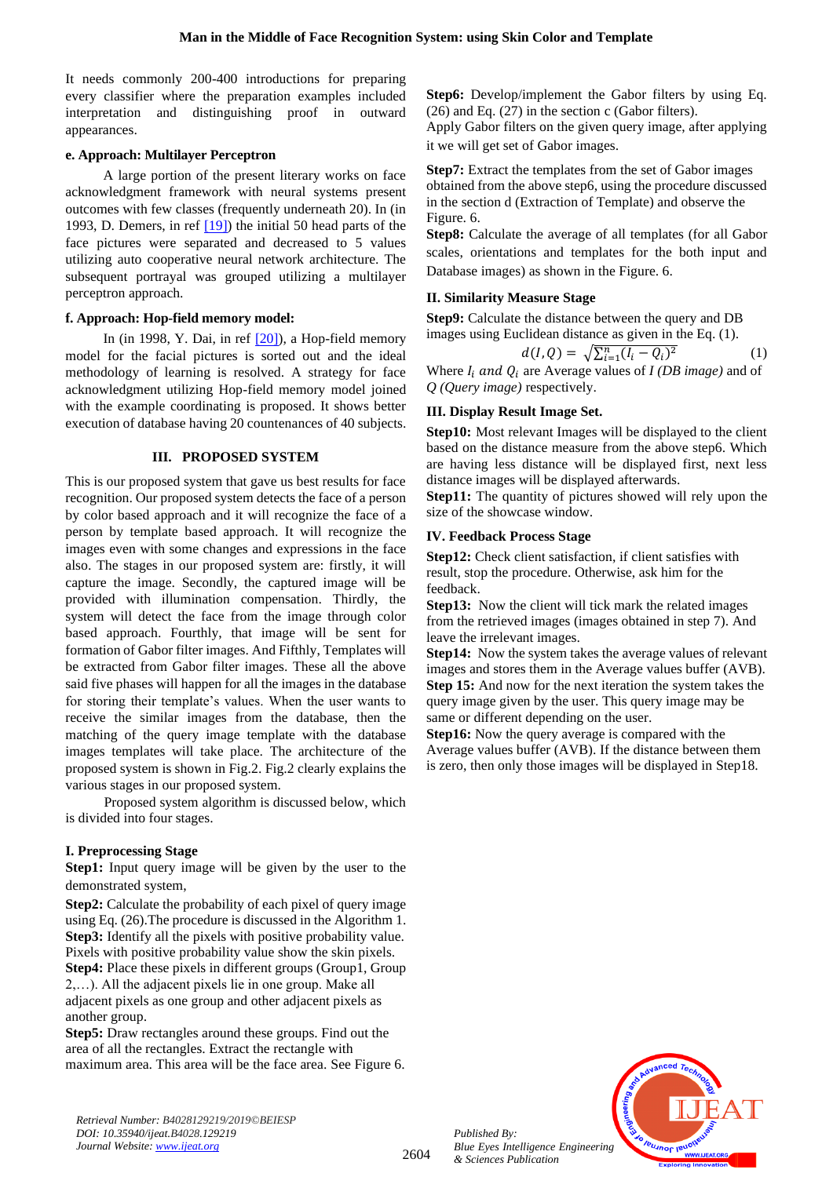It needs commonly 200-400 introductions for preparing every classifier where the preparation examples included interpretation and distinguishing proof in outward appearances.

# **e. Approach: Multilayer Perceptron**

A large portion of the present literary works on face acknowledgment framework with neural systems present outcomes with few classes (frequently underneath 20). In (in 1993, D. Demers, in ref [\[19\]\)](#page-9-16) the initial 50 head parts of the face pictures were separated and decreased to 5 values utilizing auto cooperative neural network architecture. The subsequent portrayal was grouped utilizing a multilayer perceptron approach.

# **f. Approach: Hop-field memory model:**

In (in 1998, Y. Dai, in ref  $[20]$ ), a Hop-field memory model for the facial pictures is sorted out and the ideal methodology of learning is resolved. A strategy for face acknowledgment utilizing Hop-field memory model joined with the example coordinating is proposed. It shows better execution of database having 20 countenances of 40 subjects.

# **III. PROPOSED SYSTEM**

This is our proposed system that gave us best results for face recognition. Our proposed system detects the face of a person by color based approach and it will recognize the face of a person by template based approach. It will recognize the images even with some changes and expressions in the face also. The stages in our proposed system are: firstly, it will capture the image. Secondly, the captured image will be provided with illumination compensation. Thirdly, the system will detect the face from the image through color based approach. Fourthly, that image will be sent for formation of Gabor filter images. And Fifthly, Templates will be extracted from Gabor filter images. These all the above said five phases will happen for all the images in the database for storing their template's values. When the user wants to receive the similar images from the database, then the matching of the query image template with the database images templates will take place. The architecture of the proposed system is shown in Fig.2. Fig.2 clearly explains the various stages in our proposed system.

 Proposed system algorithm is discussed below, which is divided into four stages.

# **I. Preprocessing Stage**

**Step1:** Input query image will be given by the user to the demonstrated system,

**Step2:** Calculate the probability of each pixel of query image using Eq. (26).The procedure is discussed in the Algorithm 1. **Step3:** Identify all the pixels with positive probability value. Pixels with positive probability value show the skin pixels. **Step4:** Place these pixels in different groups (Group1, Group 2,…). All the adjacent pixels lie in one group. Make all adjacent pixels as one group and other adjacent pixels as another group.

**Step5:** Draw rectangles around these groups. Find out the area of all the rectangles. Extract the rectangle with maximum area. This area will be the face area. See Figure 6. **Step6:** Develop/implement the Gabor filters by using Eq. (26) and Eq. (27) in the section c (Gabor filters).

Apply Gabor filters on the given query image, after applying it we will get set of Gabor images.

**Step7:** Extract the templates from the set of Gabor images obtained from the above step6, using the procedure discussed in the section d (Extraction of Template) and observe the Figure. 6.

**Step8:** Calculate the average of all templates (for all Gabor scales, orientations and templates for the both input and Database images) as shown in the Figure. 6.

# **II. Similarity Measure Stage**

**Step9:** Calculate the distance between the query and DB images using Euclidean distance as given in the Eq. (1).

$$
d(I, Q) = \sqrt{\sum_{i=1}^{n} (I_i - Q_i)^2}
$$
 (1)

Where  $I_i$  and  $Q_i$  are Average values of *I (DB image)* and of *Q (Query image)* respectively.

# **III. Display Result Image Set.**

**Step10:** Most relevant Images will be displayed to the client based on the distance measure from the above step6. Which are having less distance will be displayed first, next less distance images will be displayed afterwards.

**Step11:** The quantity of pictures showed will rely upon the size of the showcase window.

# **IV. Feedback Process Stage**

**Step12:** Check client satisfaction, if client satisfies with result, stop the procedure. Otherwise, ask him for the feedback.

**Step13:** Now the client will tick mark the related images from the retrieved images (images obtained in step 7). And leave the irrelevant images.

**Step14:** Now the system takes the average values of relevant images and stores them in the Average values buffer (AVB). **Step 15:** And now for the next iteration the system takes the query image given by the user. This query image may be same or different depending on the user.

**Step16:** Now the query average is compared with the Average values buffer (AVB). If the distance between them is zero, then only those images will be displayed in Step18.



*Retrieval Number: B4028129219/2019©BEIESP DOI: 10.35940/ijeat.B4028.129219 Journal Website[: www.ijeat.org](http://www.ijeat.org/)*

2604

*Published By:*

*& Sciences Publication*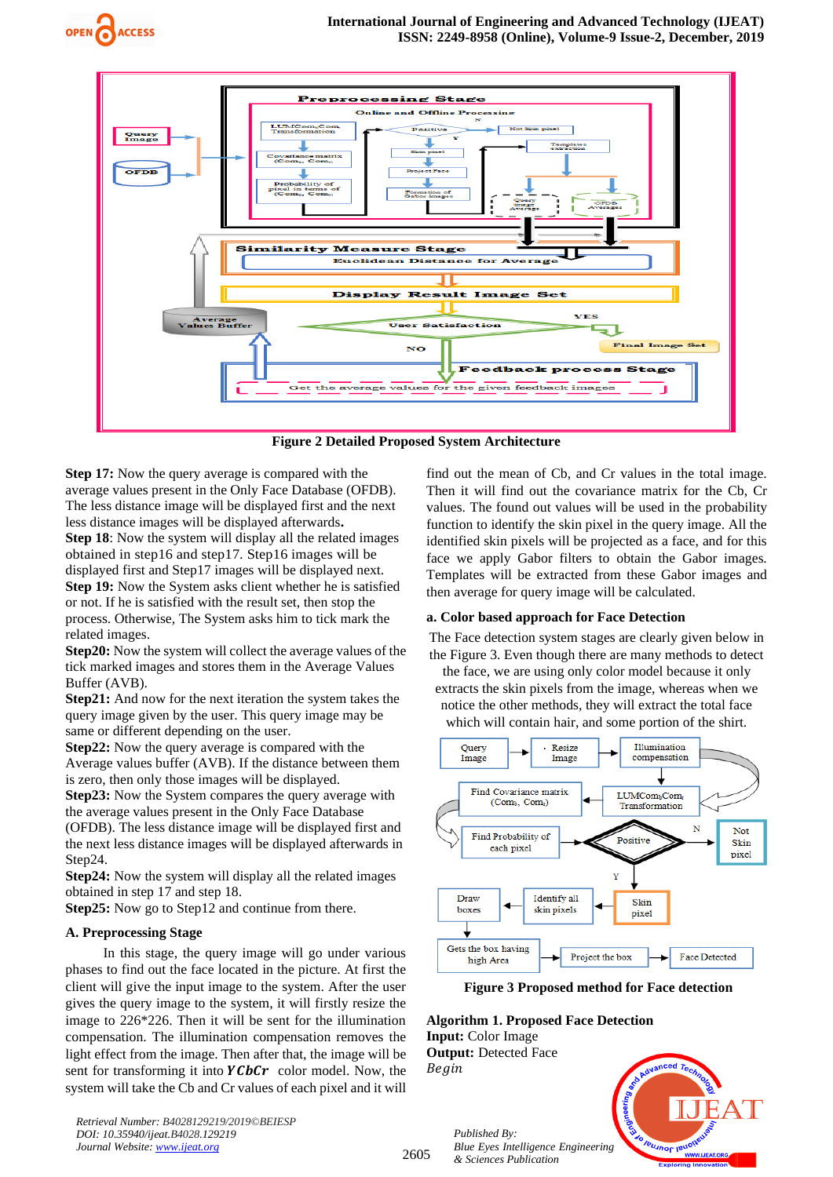



**Figure 2 Detailed Proposed System Architecture**

**Step 17:** Now the query average is compared with the average values present in the Only Face Database (OFDB). The less distance image will be displayed first and the next less distance images will be displayed afterwards**. Step 18**: Now the system will display all the related images obtained in step16 and step17. Step16 images will be displayed first and Step17 images will be displayed next. **Step 19:** Now the System asks client whether he is satisfied or not. If he is satisfied with the result set, then stop the

process. Otherwise, The System asks him to tick mark the related images.

**Step20:** Now the system will collect the average values of the tick marked images and stores them in the Average Values Buffer (AVB).

**Step21:** And now for the next iteration the system takes the query image given by the user. This query image may be same or different depending on the user.

**Step22:** Now the query average is compared with the Average values buffer (AVB). If the distance between them is zero, then only those images will be displayed.

**Step23:** Now the System compares the query average with the average values present in the Only Face Database (OFDB). The less distance image will be displayed first and the next less distance images will be displayed afterwards in Step24.

**Step24:** Now the system will display all the related images obtained in step 17 and step 18.

**Step25:** Now go to Step12 and continue from there.

# **A. Preprocessing Stage**

In this stage, the query image will go under various phases to find out the face located in the picture. At first the client will give the input image to the system. After the user gives the query image to the system, it will firstly resize the image to 226\*226. Then it will be sent for the illumination compensation. The illumination compensation removes the light effect from the image. Then after that, the image will be sent for transforming it into  $YChCr$  color model. Now, the system will take the Cb and Cr values of each pixel and it will

*Retrieval Number: B4028129219/2019©BEIESP DOI: 10.35940/ijeat.B4028.129219 Journal Website[: www.ijeat.org](http://www.ijeat.org/)*

find out the mean of Cb, and Cr values in the total image. Then it will find out the covariance matrix for the Cb, Cr values. The found out values will be used in the probability function to identify the skin pixel in the query image. All the identified skin pixels will be projected as a face, and for this face we apply Gabor filters to obtain the Gabor images. Templates will be extracted from these Gabor images and then average for query image will be calculated.

## **a. Color based approach for Face Detection**

The Face detection system stages are clearly given below in the Figure 3. Even though there are many methods to detect

the face, we are using only color model because it only extracts the skin pixels from the image, whereas when we notice the other methods, they will extract the total face

which will contain hair, and some portion of the shirt.



**Figure 3 Proposed method for Face detection**

**Algorithm 1. Proposed Face Detection Input:** Color Image

**Output:** Detected Face Begin

2605

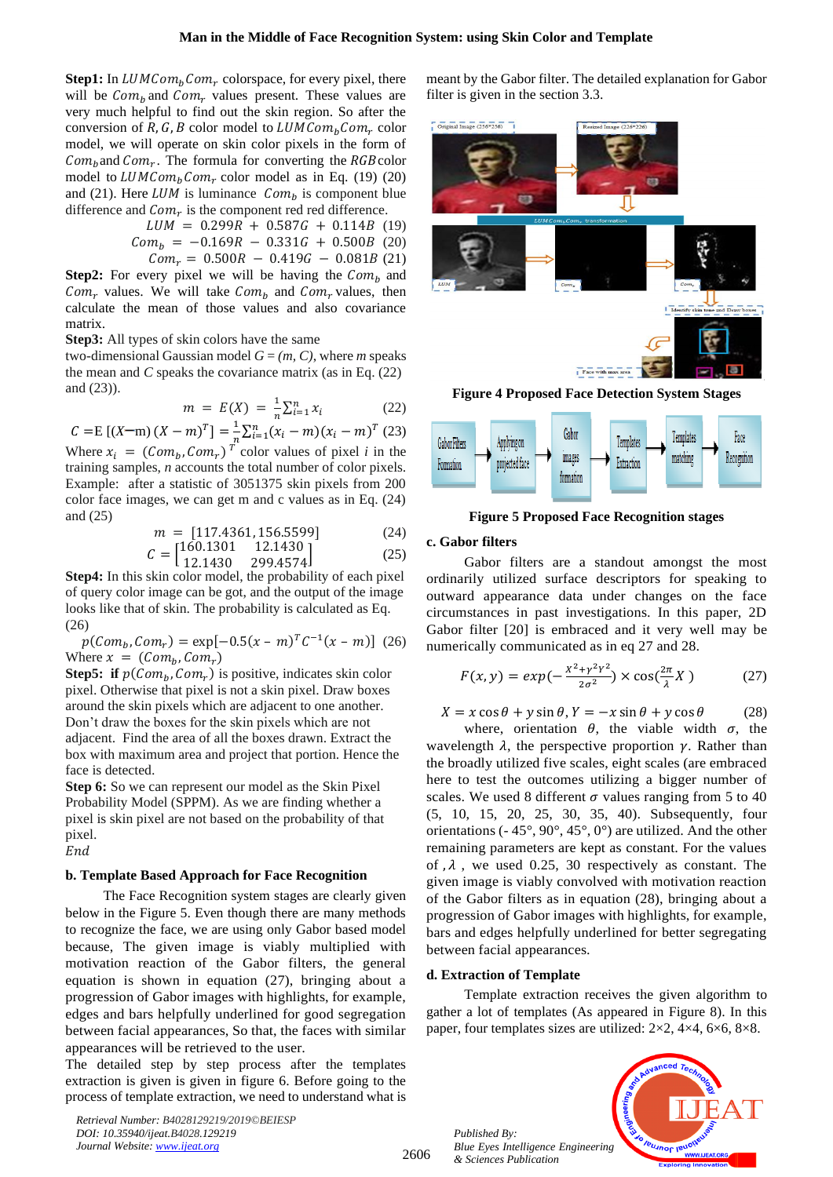**Step1:** In  $LUMCom<sub>b</sub>Com<sub>r</sub>$  colorspace, for every pixel, there will be  $Com_b$  and  $Com_r$  values present. These values are very much helpful to find out the skin region. So after the conversion of R, G, B color model to  $LUMCom_bCom_r$  color model, we will operate on skin color pixels in the form of  $Com_b$  and  $Com_r$ . The formula for converting the RGB color model to  $LUMCom<sub>b</sub>Com<sub>r</sub>$  color model as in Eq. (19) (20) and (21). Here  $LUM$  is luminance  $Com_b$  is component blue difference and  $Com<sub>r</sub>$  is the component red red difference.

$$
LUM = 0.299R + 0.587G + 0.114B
$$
 (19)  
\n
$$
Com_b = -0.169R - 0.331G + 0.500B
$$
 (20)  
\n
$$
Com_r = 0.500R - 0.419G - 0.081B
$$
 (21)

**Step2:** For every pixel we will be having the  $Com_b$  and  $Com<sub>r</sub>$  values. We will take  $Com<sub>b</sub>$  and  $Com<sub>r</sub>$  values, then calculate the mean of those values and also covariance matrix.

**Step3:** All types of skin colors have the same

two-dimensional Gaussian model  $G = (m, C)$ , where *m* speaks the mean and *C* speaks the covariance matrix (as in Eq. (22) and (23)).

$$
m = E(X) = \frac{1}{n} \sum_{i=1}^{n} x_i
$$
 (22)

 $C = E [(X-m) (X - m)^T] = \frac{1}{R}$  $\frac{1}{n}\sum_{i=1}^{n}(x_i-m)(x_i-m)^T$  (23) Where  $x_i = (Com_b, Com_r)^T$  color values of pixel *i* in the training samples, *n* accounts the total number of color pixels. Example: after a statistic of 3051375 skin pixels from 200 color face images, we can get m and c values as in Eq. (24) and (25)

$$
m = [117.4361, 156.5599] \tag{24}
$$

$$
C = \begin{bmatrix} 160.1301 & 12.1430 \\ 12.1430 & 299.4574 \end{bmatrix}
$$
 (25)

**Step4:** In this skin color model, the probability of each pixel of query color image can be got, and the output of the image

looks like that of skin. The probability is calculated as Eq.  $(26)$ 

$$
p(Com_b, Com_r) = \exp[-0.5(x - m)^T C^{-1}(x - m)]
$$
 (26)  
Where  $x = (Com_b, Com_r)$ 

**Step5:** if  $p(\text{Com}_b, \text{Com}_r)$  is positive, indicates skin color pixel. Otherwise that pixel is not a skin pixel. Draw boxes around the skin pixels which are adjacent to one another. Don't draw the boxes for the skin pixels which are not adjacent. Find the area of all the boxes drawn. Extract the box with maximum area and project that portion. Hence the face is detected.

**Step 6:** So we can represent our model as the Skin Pixel Probability Model (SPPM). As we are finding whether a pixel is skin pixel are not based on the probability of that pixel.  $End$ 

# **b. Template Based Approach for Face Recognition**

The Face Recognition system stages are clearly given below in the Figure 5. Even though there are many methods to recognize the face, we are using only Gabor based model because, The given image is viably multiplied with motivation reaction of the Gabor filters, the general equation is shown in equation (27), bringing about a progression of Gabor images with highlights, for example, edges and bars helpfully underlined for good segregation between facial appearances, So that, the faces with similar appearances will be retrieved to the user.

The detailed step by step process after the templates extraction is given is given in figure 6. Before going to the process of template extraction, we need to understand what is

*Retrieval Number: B4028129219/2019©BEIESP DOI: 10.35940/ijeat.B4028.129219 Journal Website[: www.ijeat.org](http://www.ijeat.org/)*

meant by the Gabor filter. The detailed explanation for Gabor filter is given in the section 3.3.



**Figure 4 Proposed Face Detection System Stages**



**Figure 5 Proposed Face Recognition stages**

# **c. Gabor filters**

Gabor filters are a standout amongst the most ordinarily utilized surface descriptors for speaking to outward appearance data under changes on the face circumstances in past investigations. In this paper, 2D Gabor filter [20] is embraced and it very well may be numerically communicated as in eq 27 and 28.

$$
F(x,y) = exp(-\frac{x^2 + y^2y^2}{2\sigma^2}) \times cos(\frac{2\pi}{\lambda}X)
$$
 (27)

$$
X = x \cos \theta + y \sin \theta, Y = -x \sin \theta + y \cos \theta \qquad (28)
$$

where, orientation  $\theta$ , the viable width  $\sigma$ , the wavelength  $\lambda$ , the perspective proportion  $\gamma$ . Rather than the broadly utilized five scales, eight scales (are embraced here to test the outcomes utilizing a bigger number of scales. We used 8 different  $\sigma$  values ranging from 5 to 40 (5, 10, 15, 20, 25, 30, 35, 40). Subsequently, four orientations (- 45°, 90°, 45°, 0°) are utilized. And the other remaining parameters are kept as constant. For the values of  $, \lambda$ , we used 0.25, 30 respectively as constant. The given image is viably convolved with motivation reaction of the Gabor filters as in equation (28), bringing about a progression of Gabor images with highlights, for example, bars and edges helpfully underlined for better segregating between facial appearances.

# **d. Extraction of Template**

Template extraction receives the given algorithm to gather a lot of templates (As appeared in Figure 8). In this paper, four templates sizes are utilized: 2×2, 4×4, 6×6, 8×8.

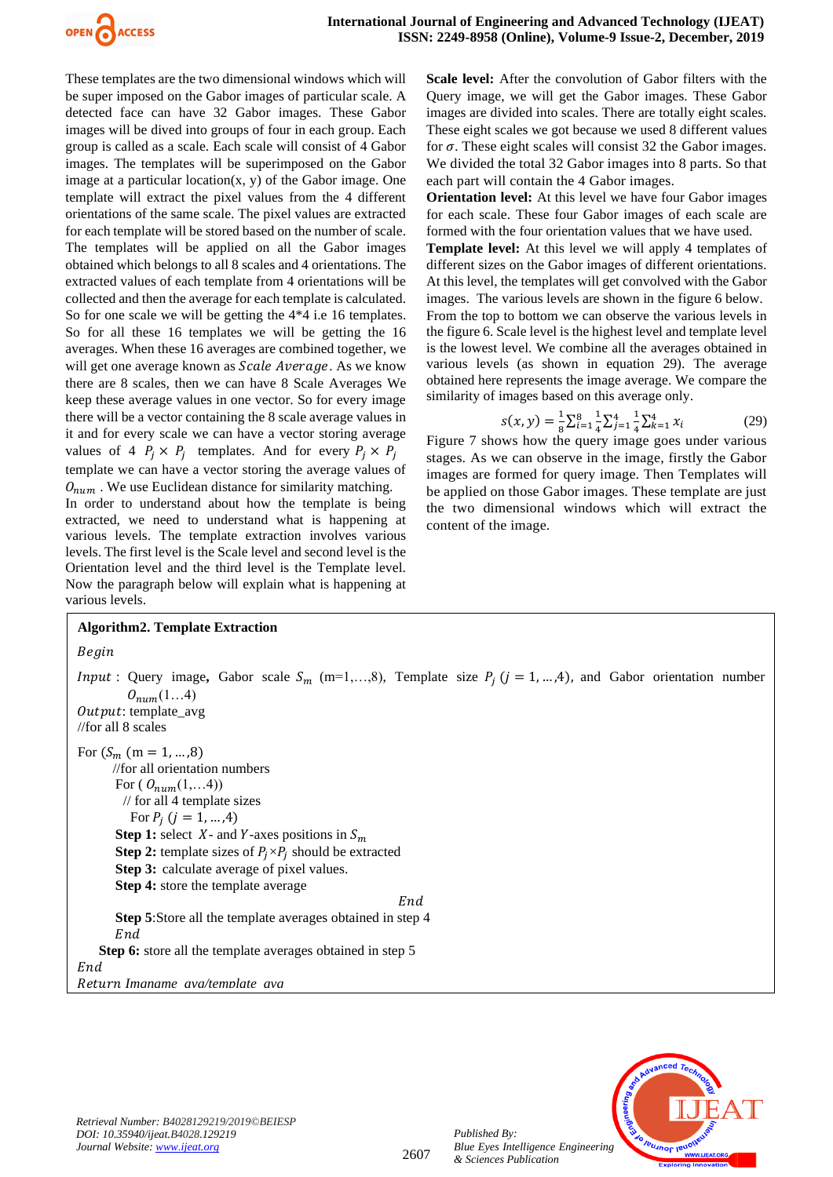

These templates are the two dimensional windows which will be super imposed on the Gabor images of particular scale. A detected face can have 32 Gabor images. These Gabor images will be dived into groups of four in each group. Each group is called as a scale. Each scale will consist of 4 Gabor images. The templates will be superimposed on the Gabor image at a particular location $(x, y)$  of the Gabor image. One template will extract the pixel values from the 4 different orientations of the same scale. The pixel values are extracted for each template will be stored based on the number of scale. The templates will be applied on all the Gabor images obtained which belongs to all 8 scales and 4 orientations. The extracted values of each template from 4 orientations will be collected and then the average for each template is calculated. So for one scale we will be getting the  $4*4$  i.e 16 templates. So for all these 16 templates we will be getting the 16 averages. When these 16 averages are combined together, we will get one average known as *Scale Average*. As we know there are 8 scales, then we can have 8 Scale Averages We keep these average values in one vector. So for every image there will be a vector containing the 8 scale average values in it and for every scale we can have a vector storing average values of 4  $P_j \times P_j$  templates. And for every  $P_j \times P_j$ template we can have a vector storing the average values of  $O_{num}$ . We use Euclidean distance for similarity matching.

In order to understand about how the template is being extracted, we need to understand what is happening at various levels. The template extraction involves various levels. The first level is the Scale level and second level is the Orientation level and the third level is the Template level. Now the paragraph below will explain what is happening at various levels.

**Scale level:** After the convolution of Gabor filters with the Query image, we will get the Gabor images. These Gabor images are divided into scales. There are totally eight scales. These eight scales we got because we used 8 different values for  $\sigma$ . These eight scales will consist 32 the Gabor images. We divided the total 32 Gabor images into 8 parts. So that each part will contain the 4 Gabor images.

**Orientation level:** At this level we have four Gabor images for each scale. These four Gabor images of each scale are formed with the four orientation values that we have used.

**Template level:** At this level we will apply 4 templates of different sizes on the Gabor images of different orientations. At this level, the templates will get convolved with the Gabor images.The various levels are shown in the figure 6 below. From the top to bottom we can observe the various levels in the figure 6. Scale level is the highest level and template level is the lowest level. We combine all the averages obtained in various levels (as shown in equation 29). The average obtained here represents the image average. We compare the similarity of images based on this average only.

$$
s(x, y) = \frac{1}{8} \sum_{i=1}^{8} \frac{1}{4} \sum_{j=1}^{4} \frac{1}{4} \sum_{k=1}^{4} x_i
$$
 (29)

Figure 7 shows how the query image goes under various stages. As we can observe in the image, firstly the Gabor images are formed for query image. Then Templates will be applied on those Gabor images. These template are just the two dimensional windows which will extract the content of the image.

# **Algorithm2. Template Extraction**

Begin

*Input*: Query image, Gabor scale  $S_m$  (m=1,...,8), Template size  $P_i$  ( $j = 1, ..., 4$ ), and Gabor orientation number  $O_{num}(1...4)$ Output: template\_avg //for all 8 scales For  $(S_m \ (m = 1, \ldots, 8))$  //for all orientation numbers For ( $O_{num}(1,...4)$ ) // for all 4 template sizes For  $P_i$   $(j = 1, ..., 4)$ **Step 1:** select  $X$ - and  $Y$ -axes positions in  $S_m$ **Step 2:** template sizes of  $P_j \times P_j$  should be extracted **Step 3:** calculate average of pixel values. **Step 4:** store the template average End **Step 5**:Store all the template averages obtained in step 4 End **Step 6:** store all the template averages obtained in step 5 End *Imgname\_avg/template\_avg*



*Published By:*

*& Sciences Publication*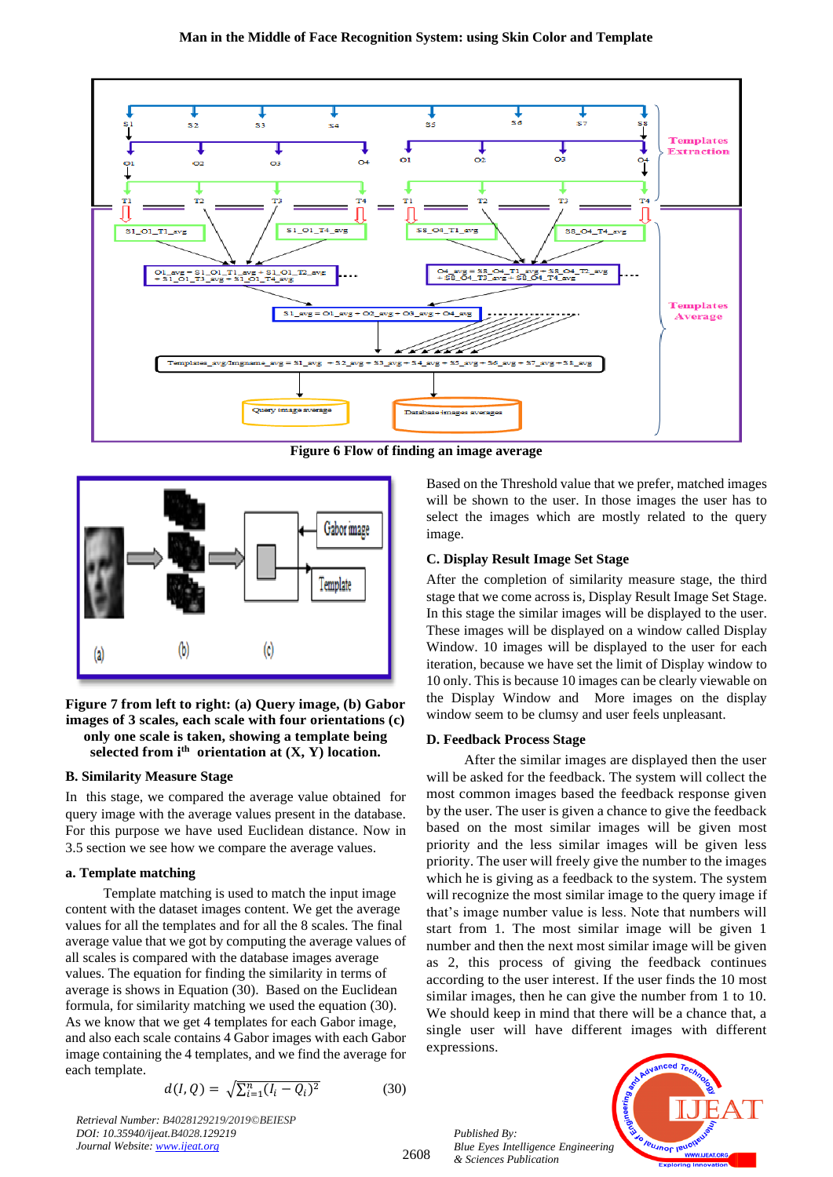

**Figure 6 Flow of finding an image average**



**Figure 7 from left to right: (a) Query image, (b) Gabor images of 3 scales, each scale with four orientations (c) only one scale is taken, showing a template being selected from ith orientation at (X, Y) location.**

## **B. Similarity Measure Stage**

In this stage, we compared the average value obtained for query image with the average values present in the database. For this purpose we have used Euclidean distance. Now in 3.5 section we see how we compare the average values.

## **a. Template matching**

Template matching is used to match the input image content with the dataset images content. We get the average values for all the templates and for all the 8 scales. The final average value that we got by computing the average values of all scales is compared with the database images average values. The equation for finding the similarity in terms of average is shows in Equation (30). Based on the Euclidean formula, for similarity matching we used the equation (30). As we know that we get 4 templates for each Gabor image, and also each scale contains 4 Gabor images with each Gabor image containing the 4 templates, and we find the average for each template.

$$
d(I, Q) = \sqrt{\sum_{i=1}^{n} (I_i - Q_i)^2}
$$
 (30)

*Retrieval Number: B4028129219/2019©BEIESP DOI: 10.35940/ijeat.B4028.129219 Journal Website[: www.ijeat.org](http://www.ijeat.org/)*

2608

Based on the Threshold value that we prefer, matched images will be shown to the user. In those images the user has to select the images which are mostly related to the query image.

## **C. Display Result Image Set Stage**

After the completion of similarity measure stage, the third stage that we come across is, Display Result Image Set Stage. In this stage the similar images will be displayed to the user. These images will be displayed on a window called Display Window. 10 images will be displayed to the user for each iteration, because we have set the limit of Display window to 10 only. This is because 10 images can be clearly viewable on the Display Window and More images on the display window seem to be clumsy and user feels unpleasant.

## **D. Feedback Process Stage**

After the similar images are displayed then the user will be asked for the feedback. The system will collect the most common images based the feedback response given by the user. The user is given a chance to give the feedback based on the most similar images will be given most priority and the less similar images will be given less priority. The user will freely give the number to the images which he is giving as a feedback to the system. The system will recognize the most similar image to the query image if that's image number value is less. Note that numbers will start from 1. The most similar image will be given 1 number and then the next most similar image will be given as 2, this process of giving the feedback continues according to the user interest. If the user finds the 10 most similar images, then he can give the number from 1 to 10. We should keep in mind that there will be a chance that, a single user will have different images with different expressions.

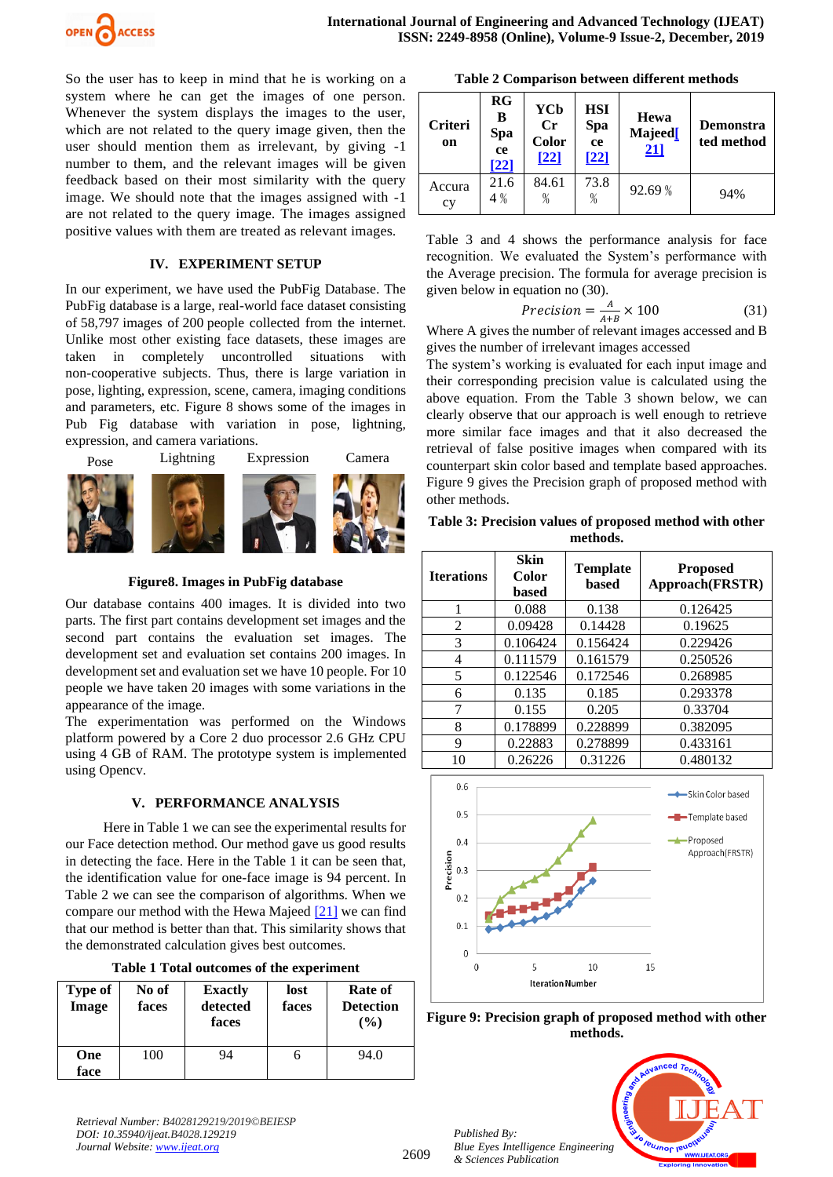

So the user has to keep in mind that he is working on a system where he can get the images of one person. Whenever the system displays the images to the user, which are not related to the query image given, then the user should mention them as irrelevant, by giving -1 number to them, and the relevant images will be given feedback based on their most similarity with the query image. We should note that the images assigned with -1 are not related to the query image. The images assigned positive values with them are treated as relevant images.

# **IV. EXPERIMENT SETUP**

In our experiment, we have used the PubFig Database. The PubFig database is a large, real-world face dataset consisting of 58,797 images of 200 people collected from the internet. Unlike most other existing face datasets, these images are taken in completely uncontrolled situations with non-cooperative subjects. Thus, there is large variation in pose, lighting, expression, scene, camera, imaging conditions and parameters, etc. Figure 8 shows some of the images in Pub Fig database with variation in pose, lightning, expression, and camera variations.



**Figure8. Images in PubFig database**

Our database contains 400 images. It is divided into two parts. The first part contains development set images and the second part contains the evaluation set images. The development set and evaluation set contains 200 images. In development set and evaluation set we have 10 people. For 10 people we have taken 20 images with some variations in the appearance of the image.

The experimentation was performed on the Windows platform powered by a Core 2 duo processor 2.6 GHz CPU using 4 GB of RAM. The prototype system is implemented using Opencv.

# **V. PERFORMANCE ANALYSIS**

Here in Table 1 we can see the experimental results for our Face detection method. Our method gave us good results in detecting the face. Here in the Table 1 it can be seen that, the identification value for one-face image is 94 percent. In Table 2 we can see the comparison of algorithms. When we compare our method with the Hewa Majeed [\[21\]](#page-9-18) we can find that our method is better than that. This similarity shows that the demonstrated calculation gives best outcomes.

|  |  |  |  |  | Table 1 Total outcomes of the experiment |
|--|--|--|--|--|------------------------------------------|
|--|--|--|--|--|------------------------------------------|

| <b>Type of</b><br>Image | No of<br>faces | <b>Exactly</b><br>detected<br>faces | lost<br>faces | Rate of<br><b>Detection</b><br>$($ %) |
|-------------------------|----------------|-------------------------------------|---------------|---------------------------------------|
| One<br>face             | 100            | 94                                  | n             | 94.0                                  |

*Retrieval Number: B4028129219/2019©BEIESP DOI: 10.35940/ijeat.B4028.129219 Journal Website[: www.ijeat.org](http://www.ijeat.org/)*

| <b>Criteri</b><br>on | RG<br>В<br>Spa<br><b>ce</b><br>[22] | YCb<br>$C_{r}$<br>Color<br>[22] | <b>HSI</b><br>Spa<br>ce<br>[22] | Hewa<br>Majeed <sup>[</sup><br>21] | <b>Demonstra</b><br>ted method |
|----------------------|-------------------------------------|---------------------------------|---------------------------------|------------------------------------|--------------------------------|
| Accura<br>cy         | 21.6<br>4 %                         | 84.61<br>$\%$                   | 73.8<br>$\%$                    | 92.69 %                            | 94%                            |

Table 3 and 4 shows the performance analysis for face recognition. We evaluated the System's performance with the Average precision. The formula for average precision is given below in equation no (30).

$$
Precision = \frac{A}{A+B} \times 100\tag{31}
$$

Where A gives the number of relevant images accessed and B gives the number of irrelevant images accessed

The system's working is evaluated for each input image and their corresponding precision value is calculated using the above equation. From the Table 3 shown below, we can clearly observe that our approach is well enough to retrieve more similar face images and that it also decreased the retrieval of false positive images when compared with its counterpart skin color based and template based approaches. Figure 9 gives the Precision graph of proposed method with other methods.

# **Table 3: Precision values of proposed method with other methods.**

| <b>Iterations</b> | <b>Skin</b><br>Color<br>based | <b>Template</b><br>based | <b>Proposed</b><br>Approach(FRSTR) |
|-------------------|-------------------------------|--------------------------|------------------------------------|
|                   | 0.088                         | 0.138                    | 0.126425                           |
| 2                 | 0.09428                       | 0.14428                  | 0.19625                            |
| 3                 | 0.106424                      | 0.156424                 | 0.229426                           |
| 4                 | 0.111579                      | 0.161579                 | 0.250526                           |
| 5                 | 0.122546                      | 0.172546                 | 0.268985                           |
| 6                 | 0.135                         | 0.185                    | 0.293378                           |
| 7                 | 0.155                         | 0.205                    | 0.33704                            |
| 8                 | 0.178899                      | 0.228899                 | 0.382095                           |
| 9                 | 0.22883                       | 0.278899                 | 0.433161                           |
| 10                | 0.26226                       | 0.31226                  | 0.480132                           |



**Figure 9: Precision graph of proposed method with other methods.**

*Published By: Blue Eyes Intelligence Engineering & Sciences Publication* 



2609